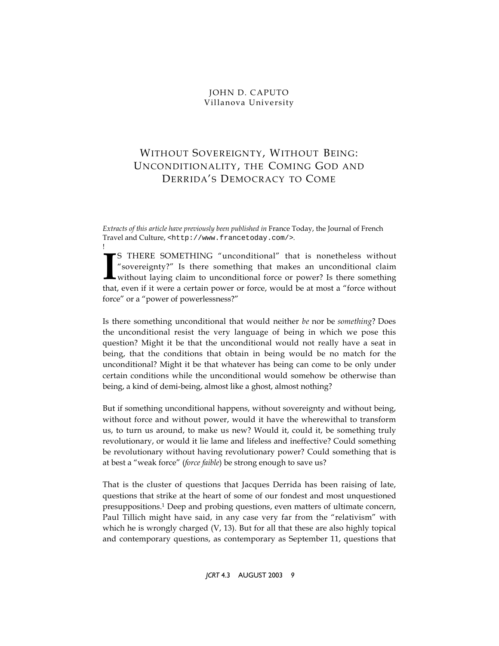## JOHN D. CAPUTO Villanova University

## WITHOUT SOVEREIGNTY, WITHOUT BEING: UNCONDITIONALITY, THE COMING GOD AND DERRIDA'S DEMOCRACY TO COME

*Extracts of this article have previously been published in* France Today, the Journal of French Travel and Culture, [<http://www.francetoday.com/>](http://www.francetoday.com/).

!

S THERE SOMETHING "unconditional" that is nonetheless without "sovereignty?" Is there something that makes an unconditional claim **T**S THERE SOMETHING "unconditional" that is nonetheless without "sovereignty?" Is there something that makes an unconditional claim without laying claim to unconditional force or power? Is there something that even if it that, even if it were a certain power or force, would be at most a "force without force" or a "power of powerlessness?"

Is there something unconditional that would neither *be* nor be *something*? Does the unconditional resist the very language of being in which we pose this question? Might it be that the unconditional would not really have a seat in being, that the conditions that obtain in being would be no match for the unconditional? Might it be that whatever has being can come to be only under certain conditions while the unconditional would somehow be otherwise than being, a kind of demi-being, almost like a ghost, almost nothing?

But if something unconditional happens, without sovereignty and without being, without force and without power, would it have the wherewithal to transform us, to turn us around, to make us new? Would it, could it, be something truly revolutionary, or would it lie lame and lifeless and ineffective? Could something be revolutionary without having revolutionary power? Could something that is at best a "weak force" (*force faible*) be strong enough to save us?

That is the cluster of questions that Jacques Derrida has been raising of late, questions that strike at the heart of some of our fondest and most unquestioned presuppositions.<sup>1</sup> Deep and probing questions, even matters of ultimate concern, Paul Tillich might have said, in any case very far from the "relativism" with which he is wrongly charged (V, 13). But for all that these are also highly topical and contemporary questions, as contemporary as September 11, questions that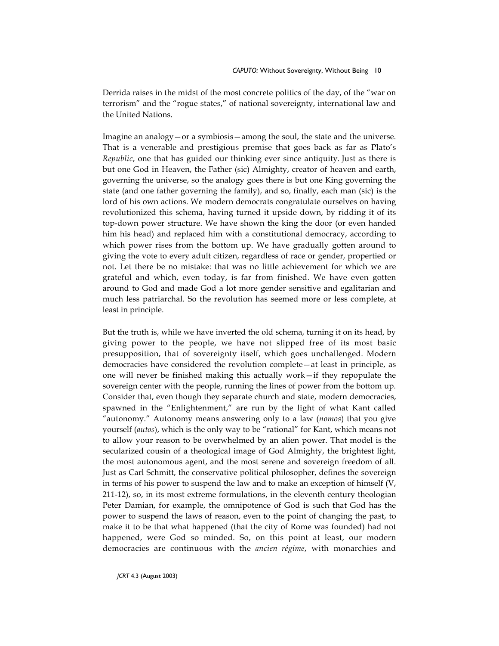Derrida raises in the midst of the most concrete politics of the day, of the "war on terrorism" and the "rogue states," of national sovereignty, international law and the United Nations.

Imagine an analogy—or a symbiosis—among the soul, the state and the universe. That is a venerable and prestigious premise that goes back as far as Plato's *Republic*, one that has guided our thinking ever since antiquity. Just as there is but one God in Heaven, the Father (sic) Almighty, creator of heaven and earth, governing the universe, so the analogy goes there is but one King governing the state (and one father governing the family), and so, finally, each man (sic) is the lord of his own actions. We modern democrats congratulate ourselves on having revolutionized this schema, having turned it upside down, by ridding it of its top-down power structure. We have shown the king the door (or even handed him his head) and replaced him with a constitutional democracy, according to which power rises from the bottom up. We have gradually gotten around to giving the vote to every adult citizen, regardless of race or gender, propertied or not. Let there be no mistake: that was no little achievement for which we are grateful and which, even today, is far from finished. We have even gotten around to God and made God a lot more gender sensitive and egalitarian and much less patriarchal. So the revolution has seemed more or less complete, at least in principle.

But the truth is, while we have inverted the old schema, turning it on its head, by giving power to the people, we have not slipped free of its most basic presupposition, that of sovereignty itself, which goes unchallenged. Modern democracies have considered the revolution complete—at least in principle, as one will never be finished making this actually work—if they repopulate the sovereign center with the people, running the lines of power from the bottom up. Consider that, even though they separate church and state, modern democracies, spawned in the "Enlightenment," are run by the light of what Kant called "autonomy." Autonomy means answering only to a law (*nomos*) that you give yourself (*autos*), which is the only way to be "rational" for Kant, which means not to allow your reason to be overwhelmed by an alien power. That model is the secularized cousin of a theological image of God Almighty, the brightest light, the most autonomous agent, and the most serene and sovereign freedom of all. Just as Carl Schmitt, the conservative political philosopher, defines the sovereign in terms of his power to suspend the law and to make an exception of himself (V, 211-12), so, in its most extreme formulations, in the eleventh century theologian Peter Damian, for example, the omnipotence of God is such that God has the power to suspend the laws of reason, even to the point of changing the past, to make it to be that what happened (that the city of Rome was founded) had not happened, were God so minded. So, on this point at least, our modern democracies are continuous with the *ancien régime*, with monarchies and

*JCRT* 4.3 (August 2003)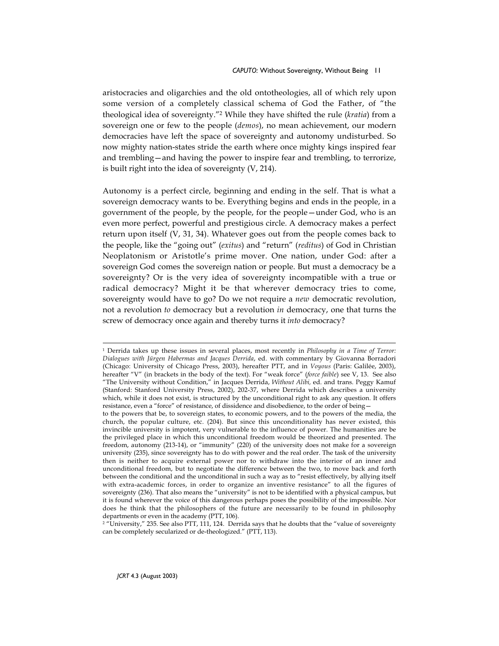aristocracies and oligarchies and the old ontotheologies, all of which rely upon some version of a completely classical schema of God the Father, of "the theological idea of sovereignty."2 While they have shifted the rule (*kratia*) from a sovereign one or few to the people (*demos*), no mean achievement, our modern democracies have left the space of sovereignty and autonomy undisturbed. So now mighty nation-states stride the earth where once mighty kings inspired fear and trembling—and having the power to inspire fear and trembling, to terrorize, is built right into the idea of sovereignty (V, 214).

Autonomy is a perfect circle, beginning and ending in the self. That is what a sovereign democracy wants to be. Everything begins and ends in the people, in a government of the people, by the people, for the people—under God, who is an even more perfect, powerful and prestigious circle. A democracy makes a perfect return upon itself (V, 31, 34). Whatever goes out from the people comes back to the people, like the "going out" (*exitus*) and "return" (*reditus*) of God in Christian Neoplatonism or Aristotle's prime mover. One nation, under God: after a sovereign God comes the sovereign nation or people. But must a democracy be a sovereignty? Or is the very idea of sovereignty incompatible with a true or radical democracy? Might it be that wherever democracy tries to come, sovereignty would have to go? Do we not require a *new* democratic revolution, not a revolution *to* democracy but a revolution *in* democracy, one that turns the screw of democracy once again and thereby turns it *into* democracy?

<sup>1</sup> Derrida takes up these issues in several places, most recently in *Philosophy in a Time of Terror: Dialogues with Jürgen Habermas and Jacques Derrida*, ed. with commentary by Giovanna Borradori (Chicago: University of Chicago Press, 2003), hereafter PTT, and in *Voyous* (Paris: Galilée, 2003), hereafter "V" (in brackets in the body of the text). For "weak force" (*force faible*) see V, 13. See also "The University without Condition," in Jacques Derrida, *Without Alibi,* ed. and trans. Peggy Kamuf (Stanford: Stanford University Press, 2002), 202-37, where Derrida which describes a university which, while it does not exist, is structured by the unconditional right to ask any question. It offers resistance, even a "force" of resistance, of dissidence and disobedience, to the order of being—

to the powers that be, to sovereign states, to economic powers, and to the powers of the media, the church, the popular culture, etc. (204). But since this unconditionality has never existed, this invincible university is impotent, very vulnerable to the influence of power. The humanities are be the privileged place in which this unconditional freedom would be theorized and presented. The freedom, autonomy (213-14), or "immunity" (220) of the university does not make for a sovereign university (235), since sovereignty has to do with power and the real order. The task of the university then is neither to acquire external power nor to withdraw into the interior of an inner and unconditional freedom, but to negotiate the difference between the two, to move back and forth between the conditional and the unconditional in such a way as to "resist effectively, by allying itself with extra-academic forces, in order to organize an inventive resistance" to all the figures of sovereignty (236). That also means the "university" is not to be identified with a physical campus, but it is found wherever the voice of this dangerous perhaps poses the possibility of the impossible. Nor does he think that the philosophers of the future are necessarily to be found in philosophy departments or even in the academy (PTT, 106).

<sup>&</sup>lt;sup>2</sup> "University," 235. See also PTT, 111, 124. Derrida says that he doubts that the "value of sovereignty can be completely secularized or de-theologized." (PTT, 113).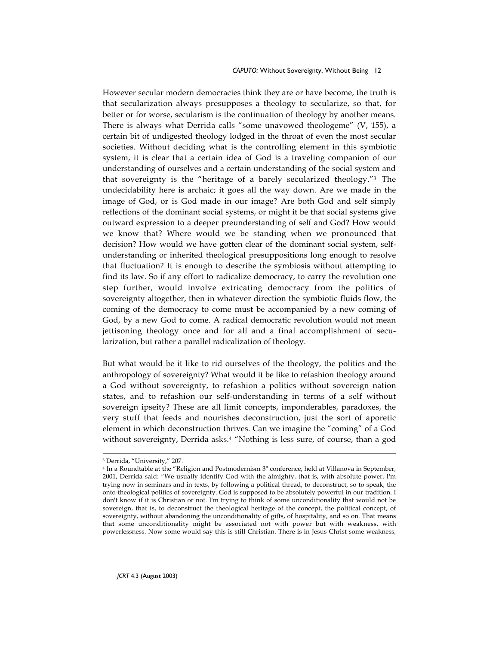However secular modern democracies think they are or have become, the truth is that secularization always presupposes a theology to secularize, so that, for better or for worse, secularism is the continuation of theology by another means. There is always what Derrida calls "some unavowed theologeme" (V, 155), a certain bit of undigested theology lodged in the throat of even the most secular societies. Without deciding what is the controlling element in this symbiotic system, it is clear that a certain idea of God is a traveling companion of our understanding of ourselves and a certain understanding of the social system and that sovereignty is the "heritage of a barely secularized theology."3 The undecidability here is archaic; it goes all the way down. Are we made in the image of God, or is God made in our image? Are both God and self simply reflections of the dominant social systems, or might it be that social systems give outward expression to a deeper preunderstanding of self and God? How would we know that? Where would we be standing when we pronounced that decision? How would we have gotten clear of the dominant social system, selfunderstanding or inherited theological presuppositions long enough to resolve that fluctuation? It is enough to describe the symbiosis without attempting to find its law. So if any effort to radicalize democracy, to carry the revolution one step further, would involve extricating democracy from the politics of sovereignty altogether, then in whatever direction the symbiotic fluids flow, the coming of the democracy to come must be accompanied by a new coming of God, by a new God to come. A radical democratic revolution would not mean jettisoning theology once and for all and a final accomplishment of secularization, but rather a parallel radicalization of theology.

But what would be it like to rid ourselves of the theology, the politics and the anthropology of sovereignty? What would it be like to refashion theology around a God without sovereignty, to refashion a politics without sovereign nation states, and to refashion our self-understanding in terms of a self without sovereign ipseity? These are all limit concepts, imponderables, paradoxes, the very stuff that feeds and nourishes deconstruction, just the sort of aporetic element in which deconstruction thrives. Can we imagine the "coming" of a God without sovereignty, Derrida asks.<sup>4</sup> "Nothing is less sure, of course, than a god

<sup>3</sup> Derrida, "University," 207.

<sup>4</sup> In a Roundtable at the "Religion and Postmodernism 3" conference, held at Villanova in September, 2001, Derrida said: "We usually identify God with the almighty, that is, with absolute power. I'm trying now in seminars and in texts, by following a political thread, to deconstruct, so to speak, the onto-theological politics of sovereignty. God is supposed to be absolutely powerful in our tradition. I don't know if it is Christian or not. I'm trying to think of some unconditionality that would not be sovereign, that is, to deconstruct the theological heritage of the concept, the political concept, of sovereignty, without abandoning the unconditionality of gifts, of hospitality, and so on. That means that some unconditionality might be associated not with power but with weakness, with powerlessness. Now some would say this is still Christian. There is in Jesus Christ some weakness,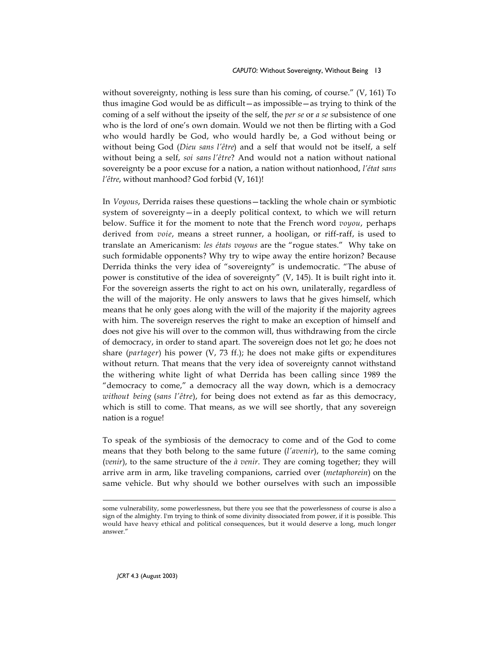## *CAPUTO:* Without Sovereignty, Without Being 13

without sovereignty, nothing is less sure than his coming, of course." (V, 161) To thus imagine God would be as difficult—as impossible—as trying to think of the coming of a self without the ipseity of the self, the *per se* or *a se* subsistence of one who is the lord of one's own domain. Would we not then be flirting with a God who would hardly be God, who would hardly be, a God without being or without being God (*Dieu sans l'être*) and a self that would not be itself, a self without being a self, *soi sans l'être*? And would not a nation without national sovereignty be a poor excuse for a nation, a nation without nationhood, *l'état sans l'être*, without manhood? God forbid (V, 161)!

In *Voyous*, Derrida raises these questions—tackling the whole chain or symbiotic system of sovereignty—in a deeply political context, to which we will return below. Suffice it for the moment to note that the French word *voyou*, perhaps derived from *voie*, means a street runner, a hooligan, or riff-raff, is used to translate an Americanism: *les états voyous* are the "rogue states." Why take on such formidable opponents? Why try to wipe away the entire horizon? Because Derrida thinks the very idea of "sovereignty" is undemocratic. "The abuse of power is constitutive of the idea of sovereignty" (V, 145). It is built right into it. For the sovereign asserts the right to act on his own, unilaterally, regardless of the will of the majority. He only answers to laws that he gives himself, which means that he only goes along with the will of the majority if the majority agrees with him. The sovereign reserves the right to make an exception of himself and does not give his will over to the common will, thus withdrawing from the circle of democracy, in order to stand apart. The sovereign does not let go; he does not share (*partager*) his power (V, 73 ff.); he does not make gifts or expenditures without return. That means that the very idea of sovereignty cannot withstand the withering white light of what Derrida has been calling since 1989 the "democracy to come," a democracy all the way down, which is a democracy *without being* (*sans l'être*), for being does not extend as far as this democracy, which is still to come. That means, as we will see shortly, that any sovereign nation is a rogue!

To speak of the symbiosis of the democracy to come and of the God to come means that they both belong to the same future (*l'avenir*), to the same coming (*venir*), to the same structure of the *à venir*. They are coming together; they will arrive arm in arm, like traveling companions, carried over (*metaphorein*) on the same vehicle. But why should we bother ourselves with such an impossible

*JCRT* 4.3 (August 2003)

some vulnerability, some powerlessness, but there you see that the powerlessness of course is also a sign of the almighty. I'm trying to think of some divinity dissociated from power, if it is possible. This would have heavy ethical and political consequences, but it would deserve a long, much longer answer."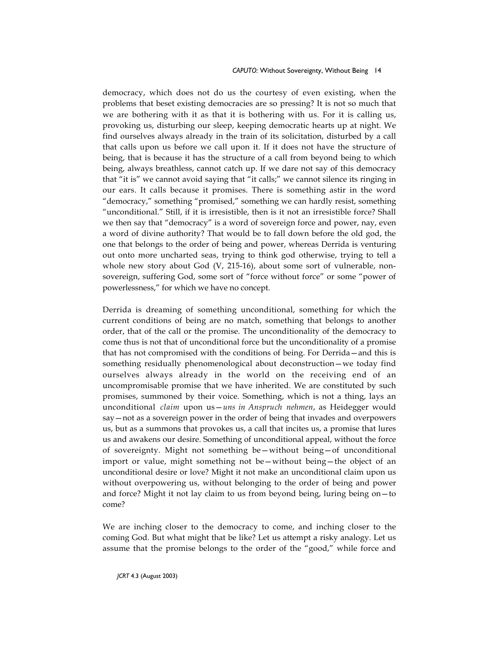democracy, which does not do us the courtesy of even existing, when the problems that beset existing democracies are so pressing? It is not so much that we are bothering with it as that it is bothering with us. For it is calling us, provoking us, disturbing our sleep, keeping democratic hearts up at night. We find ourselves always already in the train of its solicitation, disturbed by a call that calls upon us before we call upon it. If it does not have the structure of being, that is because it has the structure of a call from beyond being to which being, always breathless, cannot catch up. If we dare not say of this democracy that "it is" we cannot avoid saying that "it calls;" we cannot silence its ringing in our ears. It calls because it promises. There is something astir in the word "democracy," something "promised," something we can hardly resist, something "unconditional." Still, if it is irresistible, then is it not an irresistible force? Shall we then say that "democracy" is a word of sovereign force and power, nay, even a word of divine authority? That would be to fall down before the old god, the one that belongs to the order of being and power, whereas Derrida is venturing out onto more uncharted seas, trying to think god otherwise, trying to tell a whole new story about God (V, 215-16), about some sort of vulnerable, nonsovereign, suffering God, some sort of "force without force" or some "power of powerlessness," for which we have no concept.

Derrida is dreaming of something unconditional, something for which the current conditions of being are no match, something that belongs to another order, that of the call or the promise. The unconditionality of the democracy to come thus is not that of unconditional force but the unconditionality of a promise that has not compromised with the conditions of being. For Derrida—and this is something residually phenomenological about deconstruction—we today find ourselves always already in the world on the receiving end of an uncompromisable promise that we have inherited. We are constituted by such promises, summoned by their voice. Something, which is not a thing, lays an unconditional *claim* upon us—*uns in Anspruch nehmen*, as Heidegger would say—not as a sovereign power in the order of being that invades and overpowers us, but as a summons that provokes us, a call that incites us, a promise that lures us and awakens our desire. Something of unconditional appeal, without the force of sovereignty. Might not something be—without being—of unconditional import or value, might something not be—without being—the object of an unconditional desire or love? Might it not make an unconditional claim upon us without overpowering us, without belonging to the order of being and power and force? Might it not lay claim to us from beyond being, luring being on—to come?

We are inching closer to the democracy to come, and inching closer to the coming God. But what might that be like? Let us attempt a risky analogy. Let us assume that the promise belongs to the order of the "good," while force and

*JCRT* 4.3 (August 2003)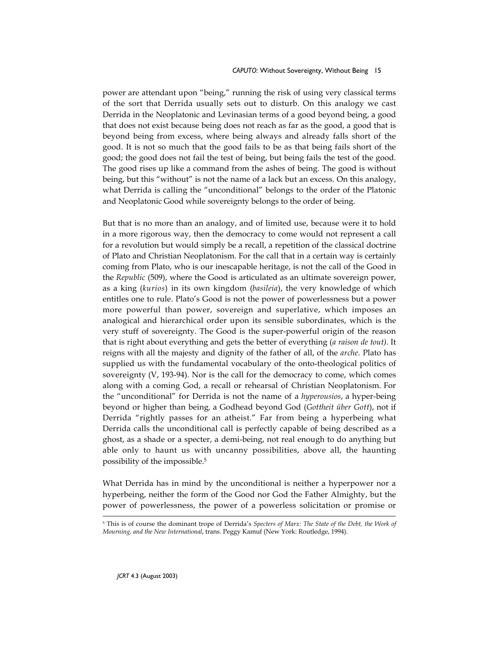power are attendant upon "being," running the risk of using very classical terms of the sort that Derrida usually sets out to disturb. On this analogy we cast Derrida in the Neoplatonic and Levinasian terms of a good beyond being, a good that does not exist because being does not reach as far as the good, a good that is beyond being from excess, where being always and already falls short of the good. It is not so much that the good fails to be as that being fails short of the good; the good does not fail the test of being, but being fails the test of the good. The good rises up like a command from the ashes of being. The good is without being, but this "without" is not the name of a lack but an excess. On this analogy, what Derrida is calling the "unconditional" belongs to the order of the Platonic and Neoplatonic Good while sovereignty belongs to the order of being.

But that is no more than an analogy, and of limited use, because were it to hold in a more rigorous way, then the democracy to come would not represent a call for a revolution but would simply be a recall, a repetition of the classical doctrine of Plato and Christian Neoplatonism. For the call that in a certain way is certainly coming from Plato, who is our inescapable heritage, is not the call of the Good in the *Republic* (509), where the Good is articulated as an ultimate sovereign power, as a king (*kurios*) in its own kingdom (*basileia*), the very knowledge of which entitles one to rule. Plato's Good is not the power of powerlessness but a power more powerful than power, sovereign and superlative, which imposes an analogical and hierarchical order upon its sensible subordinates, which is the very stuff of sovereignty. The Good is the super-powerful origin of the reason that is right about everything and gets the better of everything (*a raison de tout)*. It reigns with all the majesty and dignity of the father of all, of the *arche*. Plato has supplied us with the fundamental vocabulary of the onto-theological politics of sovereignty (V, 193-94). Nor is the call for the democracy to come, which comes along with a coming God, a recall or rehearsal of Christian Neoplatonism. For the "unconditional" for Derrida is not the name of a *hyperousios*, a hyper-being beyond or higher than being*,* a Godhead beyond God (*Gottheit über Gott*), not if Derrida "rightly passes for an atheist." Far from being a hyperbeing what Derrida calls the unconditional call is perfectly capable of being described as a ghost, as a shade or a specter, a demi-being, not real enough to do anything but able only to haunt us with uncanny possibilities, above all, the haunting possibility of the impossible.5

What Derrida has in mind by the unconditional is neither a hyperpower nor a hyperbeing, neither the form of the Good nor God the Father Almighty, but the power of powerlessness, the power of a powerless solicitation or promise or

<sup>5</sup> This is of course the dominant trope of Derrida's *Specters of Marx: The State of the Debt, the Work of Mourning, and the New International*, trans. Peggy Kamuf (New York: Routledge, 1994).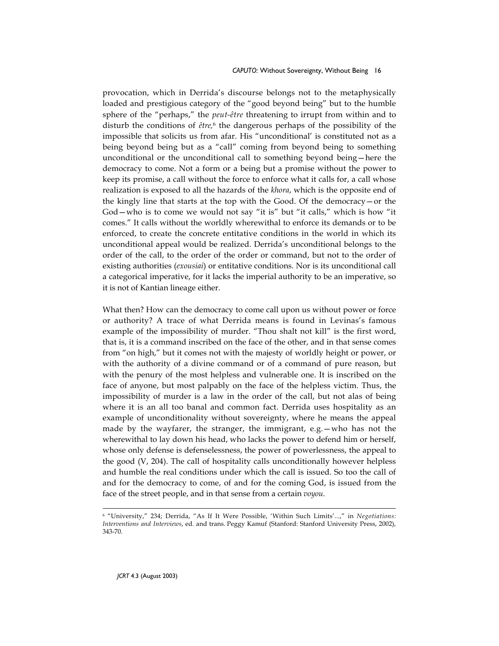provocation, which in Derrida's discourse belongs not to the metaphysically loaded and prestigious category of the "good beyond being" but to the humble sphere of the "perhaps," the *peut-être* threatening to irrupt from within and to disturb the conditions of *être,*<sup>6</sup> the dangerous perhaps of the possibility of the impossible that solicits us from afar. His "unconditional' is constituted not as a being beyond being but as a "call" coming from beyond being to something unconditional or the unconditional call to something beyond being—here the democracy to come. Not a form or a being but a promise without the power to keep its promise, a call without the force to enforce what it calls for, a call whose realization is exposed to all the hazards of the *khora*, which is the opposite end of the kingly line that starts at the top with the Good. Of the democracy—or the God—who is to come we would not say "it is" but "it calls," which is how "it comes." It calls without the worldly wherewithal to enforce its demands or to be enforced, to create the concrete entitative conditions in the world in which its unconditional appeal would be realized. Derrida's unconditional belongs to the order of the call, to the order of the order or command, but not to the order of existing authorities (*exousiai*) or entitative conditions. Nor is its unconditional call a categorical imperative, for it lacks the imperial authority to be an imperative, so it is not of Kantian lineage either.

What then? How can the democracy to come call upon us without power or force or authority? A trace of what Derrida means is found in Levinas's famous example of the impossibility of murder. "Thou shalt not kill" is the first word, that is, it is a command inscribed on the face of the other, and in that sense comes from "on high," but it comes not with the majesty of worldly height or power, or with the authority of a divine command or of a command of pure reason, but with the penury of the most helpless and vulnerable one. It is inscribed on the face of anyone, but most palpably on the face of the helpless victim. Thus, the impossibility of murder is a law in the order of the call, but not alas of being where it is an all too banal and common fact. Derrida uses hospitality as an example of unconditionality without sovereignty, where he means the appeal made by the wayfarer, the stranger, the immigrant, e.g.—who has not the wherewithal to lay down his head, who lacks the power to defend him or herself, whose only defense is defenselessness, the power of powerlessness, the appeal to the good (V, 204). The call of hospitality calls unconditionally however helpless and humble the real conditions under which the call is issued. So too the call of and for the democracy to come, of and for the coming God, is issued from the face of the street people, and in that sense from a certain *voyou*.

<sup>6</sup> "University," 234; Derrida, "As If It Were Possible, 'Within Such Limits'...," in *Negotiations: Interventions and Interviews*, ed. and trans. Peggy Kamuf (Stanford: Stanford University Press, 2002), 343-70.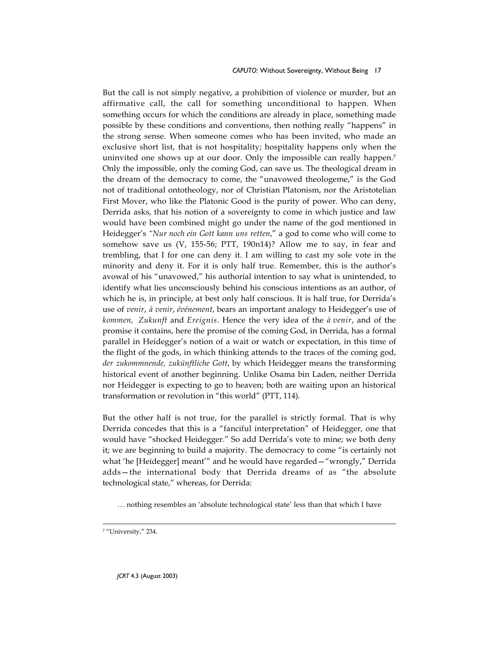But the call is not simply negative, a prohibition of violence or murder, but an affirmative call, the call for something unconditional to happen. When something occurs for which the conditions are already in place, something made possible by these conditions and conventions, then nothing really "happens" in the strong sense. When someone comes who has been invited, who made an exclusive short list, that is not hospitality; hospitality happens only when the uninvited one shows up at our door. Only the impossible can really happen.7 Only the impossible, only the coming God, can save us. The theological dream in the dream of the democracy to come, the "unavowed theologeme," is the God not of traditional ontotheology, nor of Christian Platonism, nor the Aristotelian First Mover, who like the Platonic Good is the purity of power. Who can deny, Derrida asks, that his notion of a sovereignty to come in which justice and law would have been combined might go under the name of the god mentioned in Heidegger's *"Nur noch ein Gott kann uns retten*," a god to come who will come to somehow save us (V, 155-56; PTT, 190n14)? Allow me to say, in fear and trembling, that I for one can deny it. I am willing to cast my sole vote in the minority and deny it. For it is only half true. Remember, this is the author's avowal of his "unavowed," his authorial intention to say what is unintended, to identify what lies unconsciously behind his conscious intentions as an author, of which he is, in principle, at best only half conscious. It is half true, for Derrida's use of *venir*, *à venir*, *événement*, bears an important analogy to Heidegger's use of *kommen, Zukunft* and *Ereignis*. Hence the very idea of the *à venir*, and of the promise it contains, here the promise of the coming God, in Derrida, has a formal parallel in Heidegger's notion of a wait or watch or expectation, in this time of the flight of the gods, in which thinking attends to the traces of the coming god, *der zukommnende, zukünftliche Gott*, by which Heidegger means the transforming historical event of another beginning. Unlike Osama bin Laden, neither Derrida nor Heidegger is expecting to go to heaven; both are waiting upon an historical transformation or revolution in "this world" (PTT, 114).

But the other half is not true, for the parallel is strictly formal. That is why Derrida concedes that this is a "fanciful interpretation" of Heidegger, one that would have "shocked Heidegger." So add Derrida's vote to mine; we both deny it; we are beginning to build a majority. The democracy to come "is certainly not what 'he [Heidegger] meant'" and he would have regarded—"wrongly," Derrida adds—the international body that Derrida dreams of as "the absolute technological state," whereas, for Derrida:

<sup>…</sup> nothing resembles an 'absolute technological state' less than that which I have

<sup>7 &</sup>quot;University," 234.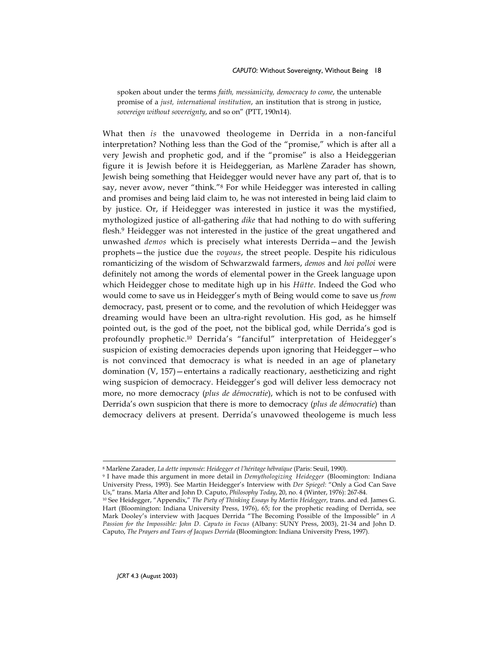spoken about under the terms *faith, messianicity, democracy to come*, the untenable promise of a *just, international institution*, an institution that is strong in justice, *sovereign without sovereignty*, and so on" (PTT, 190n14).

What then *is* the unavowed theologeme in Derrida in a non-fanciful interpretation? Nothing less than the God of the "promise," which is after all a very Jewish and prophetic god, and if the "promise" is also a Heideggerian figure it is Jewish before it is Heideggerian, as Marlène Zarader has shown, Jewish being something that Heidegger would never have any part of, that is to say, never avow, never "think."8 For while Heidegger was interested in calling and promises and being laid claim to, he was not interested in being laid claim to by justice. Or, if Heidegger was interested in justice it was the mystified, mythologized justice of all-gathering *dike* that had nothing to do with suffering flesh.<sup>9</sup> Heidegger was not interested in the justice of the great ungathered and unwashed *demos* which is precisely what interests Derrida—and the Jewish prophets—the justice due the *voyous*, the street people. Despite his ridiculous romanticizing of the wisdom of Schwarzwald farmers, *demos* and *hoi polloi* were definitely not among the words of elemental power in the Greek language upon which Heidegger chose to meditate high up in his *Hütte*. Indeed the God who would come to save us in Heidegger's myth of Being would come to save us *from* democracy, past, present or to come, and the revolution of which Heidegger was dreaming would have been an ultra-right revolution. His god, as he himself pointed out, is the god of the poet, not the biblical god, while Derrida's god is profoundly prophetic.10 Derrida's "fanciful" interpretation of Heidegger's suspicion of existing democracies depends upon ignoring that Heidegger—who is not convinced that democracy is what is needed in an age of planetary domination (V, 157)—entertains a radically reactionary, aestheticizing and right wing suspicion of democracy. Heidegger's god will deliver less democracy not more, no more democracy (*plus de démocratie*), which is not to be confused with Derrida's own suspicion that there is more to democracy (*plus de démocratie*) than democracy delivers at present. Derrida's unavowed theologeme is much less

*JCRT* 4.3 (August 2003)

<sup>8</sup> Marlène Zarader, *La dette impensée: Heidegger et l'héritage hébraïque* (Paris: Seuil, 1990).

<sup>9</sup> I have made this argument in more detail in *Demythologizing Heidegger* (Bloomington: Indiana University Press, 1993). See Martin Heidegger's Interview with *Der Spiegel*: "Only a God Can Save Us," trans. Maria Alter and John D. Caputo, *Philosophy Today*, 20, no. 4 (Winter, 1976): 267-84.

<sup>10</sup> See Heidegger, "Appendix," *The Piety of Thinking Essays by Martin Heidegger*, trans. and ed. James G. Hart (Bloomington: Indiana University Press, 1976), 65; for the prophetic reading of Derrida, see Mark Dooley's interview with Jacques Derrida "The Becoming Possible of the Impossible" in *A Passion for the Impossible: John D. Caputo in Focus* (Albany: SUNY Press, 2003), 21-34 and John D. Caputo, *The Prayers and Tears of Jacques Derrida* (Bloomington: Indiana University Press, 1997).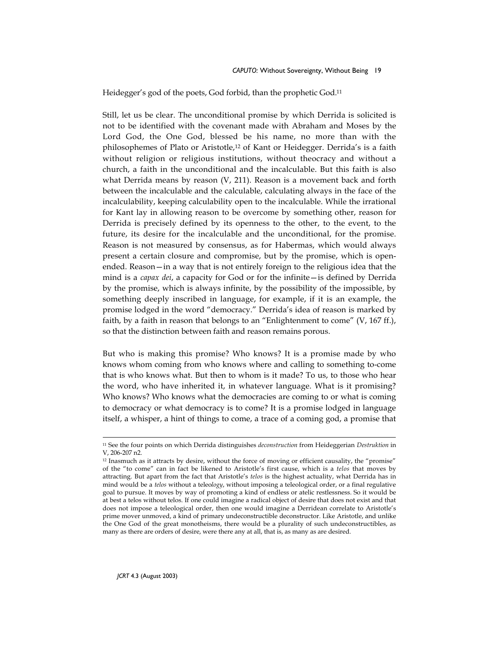Heidegger's god of the poets, God forbid, than the prophetic God.<sup>11</sup>

Still, let us be clear. The unconditional promise by which Derrida is solicited is not to be identified with the covenant made with Abraham and Moses by the Lord God, the One God, blessed be his name, no more than with the philosophemes of Plato or Aristotle,12 of Kant or Heidegger. Derrida's is a faith without religion or religious institutions, without theocracy and without a church, a faith in the unconditional and the incalculable. But this faith is also what Derrida means by reason (V, 211). Reason is a movement back and forth between the incalculable and the calculable, calculating always in the face of the incalculability, keeping calculability open to the incalculable. While the irrational for Kant lay in allowing reason to be overcome by something other, reason for Derrida is precisely defined by its openness to the other, to the event, to the future, its desire for the incalculable and the unconditional, for the promise. Reason is not measured by consensus, as for Habermas, which would always present a certain closure and compromise, but by the promise, which is openended. Reason—in a way that is not entirely foreign to the religious idea that the mind is a *capax dei*, a capacity for God or for the infinite—is defined by Derrida by the promise, which is always infinite, by the possibility of the impossible, by something deeply inscribed in language, for example, if it is an example, the promise lodged in the word "democracy." Derrida's idea of reason is marked by faith, by a faith in reason that belongs to an "Enlightenment to come" (V, 167 ff.), so that the distinction between faith and reason remains porous.

But who is making this promise? Who knows? It is a promise made by who knows whom coming from who knows where and calling to something to-come that is who knows what. But then to whom is it made? To us, to those who hear the word, who have inherited it, in whatever language. What is it promising? Who knows? Who knows what the democracies are coming to or what is coming to democracy or what democracy is to come? It is a promise lodged in language itself, a whisper, a hint of things to come, a trace of a coming god, a promise that

<sup>11</sup> See the four points on which Derrida distinguishes *deconstruction* from Heideggerian *Destruktion* in V, 206-207 n2.

<sup>12</sup> Inasmuch as it attracts by desire, without the force of moving or efficient causality, the "promise" of the "to come" can in fact be likened to Aristotle's first cause, which is a *telos* that moves by attracting. But apart from the fact that Aristotle's *telos* is the highest actuality, what Derrida has in mind would be a *telos* without a teleo*logy*, without imposing a teleological order, or a final regulative goal to pursue. It moves by way of promoting a kind of endless or atelic restlessness. So it would be at best a telos without telos. If one could imagine a radical object of desire that does not exist and that does not impose a teleological order, then one would imagine a Derridean correlate to Aristotle's prime mover unmoved, a kind of primary undeconstructible deconstructor. Like Aristotle, and unlike the One God of the great monotheisms, there would be a plurality of such undeconstructibles, as many as there are orders of desire, were there any at all, that is, as many as are desired.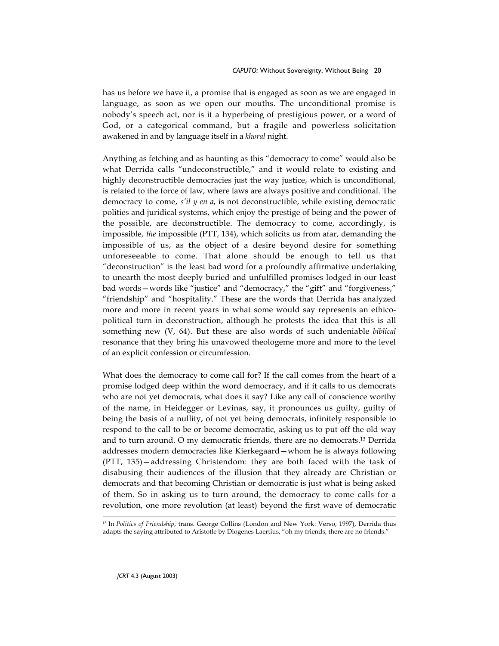has us before we have it, a promise that is engaged as soon as we are engaged in language, as soon as we open our mouths. The unconditional promise is nobody's speech act, nor is it a hyperbeing of prestigious power, or a word of God, or a categorical command, but a fragile and powerless solicitation awakened in and by language itself in a *khoral* night.

Anything as fetching and as haunting as this "democracy to come" would also be what Derrida calls "undeconstructible," and it would relate to existing and highly deconstructible democracies just the way justice, which is unconditional, is related to the force of law, where laws are always positive and conditional. The democracy to come, *s'il y en a*, is not deconstructible, while existing democratic polities and juridical systems, which enjoy the prestige of being and the power of the possible, are deconstructible. The democracy to come, accordingly, is impossible, *the* impossible (PTT, 134), which solicits us from afar, demanding the impossible of us, as the object of a desire beyond desire for something unforeseeable to come. That alone should be enough to tell us that "deconstruction" is the least bad word for a profoundly affirmative undertaking to unearth the most deeply buried and unfulfilled promises lodged in our least bad words—words like "justice" and "democracy," the "gift" and "forgiveness," "friendship" and "hospitality." These are the words that Derrida has analyzed more and more in recent years in what some would say represents an ethicopolitical turn in deconstruction, although he protests the idea that this is all something new (V, 64). But these are also words of such undeniable *biblical* resonance that they bring his unavowed theologeme more and more to the level of an explicit confession or circumfession.

What does the democracy to come call for? If the call comes from the heart of a promise lodged deep within the word democracy, and if it calls to us democrats who are not yet democrats, what does it say? Like any call of conscience worthy of the name, in Heidegger or Levinas, say, it pronounces us guilty, guilty of being the basis of a nullity, of not yet being democrats, infinitely responsible to respond to the call to be or become democratic, asking us to put off the old way and to turn around. O my democratic friends, there are no democrats.13 Derrida addresses modern democracies like Kierkegaard—whom he is always following (PTT, 135)—addressing Christendom: they are both faced with the task of disabusing their audiences of the illusion that they already are Christian or democrats and that becoming Christian or democratic is just what is being asked of them. So in asking us to turn around, the democracy to come calls for a revolution, one more revolution (at least) beyond the first wave of democratic

<sup>13</sup> In *Politics of Friendship*, trans. George Collins (London and New York: Verso, 1997), Derrida thus adapts the saying attributed to Aristotle by Diogenes Laertius, "oh my friends, there are no friends."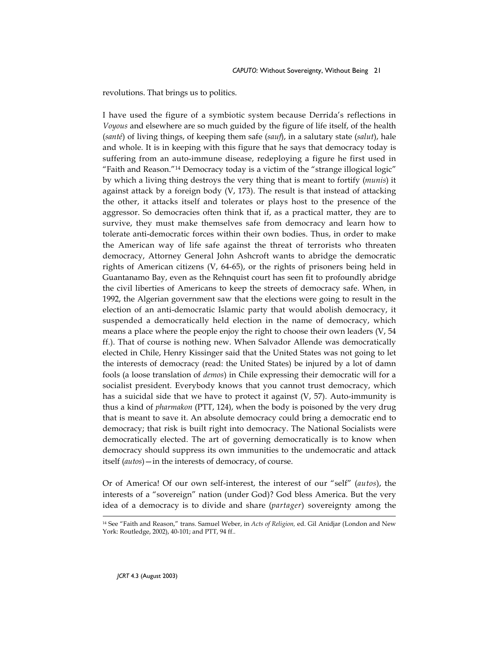revolutions. That brings us to politics.

I have used the figure of a symbiotic system because Derrida's reflections in *Voyous* and elsewhere are so much guided by the figure of life itself, of the health (*santé*) of living things, of keeping them safe (*sauf*), in a salutary state (*salut*), hale and whole. It is in keeping with this figure that he says that democracy today is suffering from an auto-immune disease, redeploying a figure he first used in "Faith and Reason."14 Democracy today is a victim of the "strange illogical logic" by which a living thing destroys the very thing that is meant to fortify (*munis*) it against attack by a foreign body (V, 173). The result is that instead of attacking the other, it attacks itself and tolerates or plays host to the presence of the aggressor. So democracies often think that if, as a practical matter, they are to survive, they must make themselves safe from democracy and learn how to tolerate anti-democratic forces within their own bodies. Thus, in order to make the American way of life safe against the threat of terrorists who threaten democracy, Attorney General John Ashcroft wants to abridge the democratic rights of American citizens (V, 64-65), or the rights of prisoners being held in Guantanamo Bay, even as the Rehnquist court has seen fit to profoundly abridge the civil liberties of Americans to keep the streets of democracy safe. When, in 1992, the Algerian government saw that the elections were going to result in the election of an anti-democratic Islamic party that would abolish democracy, it suspended a democratically held election in the name of democracy, which means a place where the people enjoy the right to choose their own leaders (V, 54 ff.). That of course is nothing new. When Salvador Allende was democratically elected in Chile, Henry Kissinger said that the United States was not going to let the interests of democracy (read: the United States) be injured by a lot of damn fools (a loose translation of *demos*) in Chile expressing their democratic will for a socialist president. Everybody knows that you cannot trust democracy, which has a suicidal side that we have to protect it against (V, 57). Auto-immunity is thus a kind of *pharmakon* (PTT, 124), when the body is poisoned by the very drug that is meant to save it. An absolute democracy could bring a democratic end to democracy; that risk is built right into democracy. The National Socialists were democratically elected. The art of governing democratically is to know when democracy should suppress its own immunities to the undemocratic and attack itself (*autos*)—in the interests of democracy, of course.

Or of America! Of our own self-interest, the interest of our "self" (*autos*), the interests of a "sovereign" nation (under God)? God bless America. But the very idea of a democracy is to divide and share (*partager*) sovereignty among the

<sup>14</sup> See "Faith and Reason," trans. Samuel Weber, in *Acts of Religion,* ed. Gil Anidjar (London and New York: Routledge, 2002), 40-101; and PTT, 94 ff..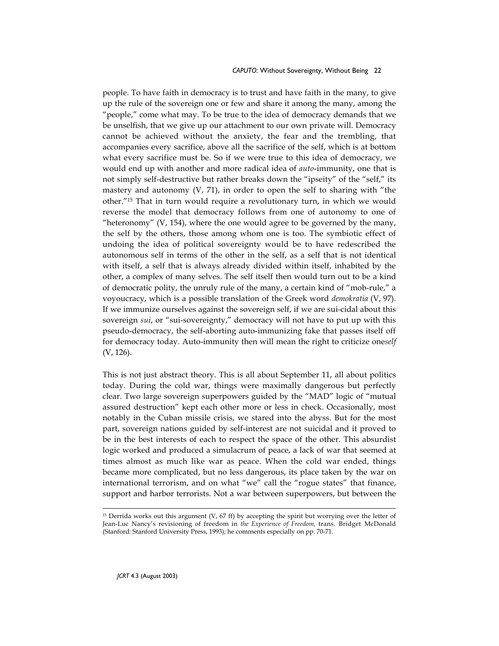people. To have faith in democracy is to trust and have faith in the many, to give up the rule of the sovereign one or few and share it among the many, among the "people," come what may. To be true to the idea of democracy demands that we be unselfish, that we give up our attachment to our own private will. Democracy cannot be achieved without the anxiety, the fear and the trembling, that accompanies every sacrifice, above all the sacrifice of the self, which is at bottom what every sacrifice must be. So if we were true to this idea of democracy, we would end up with another and more radical idea of *auto*-immunity, one that is not simply self-destructive but rather breaks down the "ipseity" of the "self," its mastery and autonomy  $(V, 71)$ , in order to open the self to sharing with "the other."15 That in turn would require a revolutionary turn, in which we would reverse the model that democracy follows from one of autonomy to one of "heteronomy"  $(V, 154)$ , where the one would agree to be governed by the many, the self by the others, those among whom one is too. The symbiotic effect of undoing the idea of political sovereignty would be to have redescribed the autonomous self in terms of the other in the self, as a self that is not identical with itself, a self that is always already divided within itself, inhabited by the other, a complex of many selves. The self itself then would turn out to be a kind of democratic polity, the unruly rule of the many, a certain kind of "mob-rule," a voyoucracy, which is a possible translation of the Greek word *demokratia* (V, 97). If we immunize ourselves against the sovereign self, if we are sui-cidal about this sovereign *sui*, or "sui-sovereignty," democracy will not have to put up with this pseudo-democracy, the self-aborting auto-immunizing fake that passes itself off for democracy today. Auto-immunity then will mean the right to criticize one*self* (V, 126).

This is not just abstract theory. This is all about September 11, all about politics today. During the cold war, things were maximally dangerous but perfectly clear. Two large sovereign superpowers guided by the "MAD" logic of "mutual assured destruction" kept each other more or less in check. Occasionally, most notably in the Cuban missile crisis, we stared into the abyss. But for the most part, sovereign nations guided by self-interest are not suicidal and it proved to be in the best interests of each to respect the space of the other. This absurdist logic worked and produced a simulacrum of peace, a lack of war that seemed at times almost as much like war as peace. When the cold war ended, things became more complicated, but no less dangerous, its place taken by the war on international terrorism, and on what "we" call the "rogue states" that finance, support and harbor terrorists. Not a war between superpowers, but between the

<sup>&</sup>lt;sup>15</sup> Derrida works out this argument (V, 67 ff) by accepting the spirit but worrying over the letter of Jean-Luc Nancy's revisioning of freedom in *the Experience of Freedom,* trans. Bridget McDonald (Stanford: Stanford University Press, 1993); he comments especially on pp. 70-71.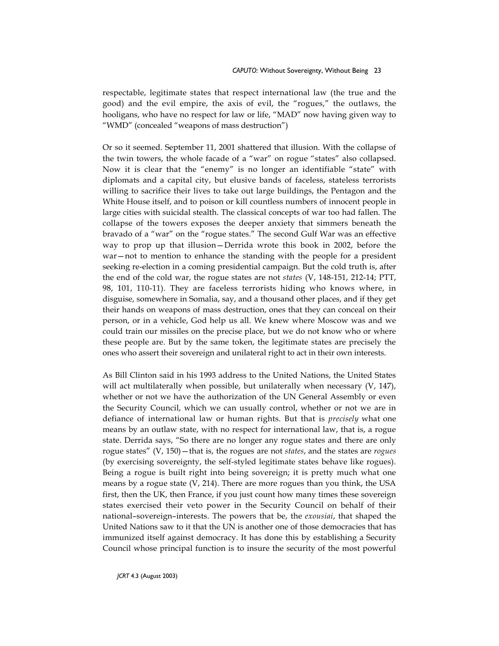respectable, legitimate states that respect international law (the true and the good) and the evil empire, the axis of evil, the "rogues," the outlaws, the hooligans, who have no respect for law or life, "MAD" now having given way to "WMD" (concealed "weapons of mass destruction")

Or so it seemed. September 11, 2001 shattered that illusion. With the collapse of the twin towers, the whole facade of a "war" on rogue "states" also collapsed. Now it is clear that the "enemy" is no longer an identifiable "state" with diplomats and a capital city, but elusive bands of faceless, stateless terrorists willing to sacrifice their lives to take out large buildings, the Pentagon and the White House itself, and to poison or kill countless numbers of innocent people in large cities with suicidal stealth. The classical concepts of war too had fallen. The collapse of the towers exposes the deeper anxiety that simmers beneath the bravado of a "war" on the "rogue states." The second Gulf War was an effective way to prop up that illusion—Derrida wrote this book in 2002, before the war—not to mention to enhance the standing with the people for a president seeking re-election in a coming presidential campaign. But the cold truth is, after the end of the cold war, the rogue states are not *states* (V, 148-151, 212-14; PTT, 98, 101, 110-11). They are faceless terrorists hiding who knows where, in disguise, somewhere in Somalia, say, and a thousand other places, and if they get their hands on weapons of mass destruction, ones that they can conceal on their person, or in a vehicle, God help us all. We knew where Moscow was and we could train our missiles on the precise place, but we do not know who or where these people are. But by the same token, the legitimate states are precisely the ones who assert their sovereign and unilateral right to act in their own interests.

As Bill Clinton said in his 1993 address to the United Nations, the United States will act multilaterally when possible, but unilaterally when necessary (V, 147), whether or not we have the authorization of the UN General Assembly or even the Security Council, which we can usually control, whether or not we are in defiance of international law or human rights. But that is *precisely* what one means by an outlaw state, with no respect for international law, that is, a rogue state. Derrida says, "So there are no longer any rogue states and there are only rogue states" (V, 150)—that is, the rogues are not *states*, and the states are *rogues* (by exercising sovereignty, the self-styled legitimate states behave like rogues). Being a rogue is built right into being sovereign; it is pretty much what one means by a rogue state (V, 214). There are more rogues than you think, the USA first, then the UK, then France, if you just count how many times these sovereign states exercised their veto power in the Security Council on behalf of their national–sovereign–interests. The powers that be, the *exousiai*, that shaped the United Nations saw to it that the UN is another one of those democracies that has immunized itself against democracy. It has done this by establishing a Security Council whose principal function is to insure the security of the most powerful

*JCRT* 4.3 (August 2003)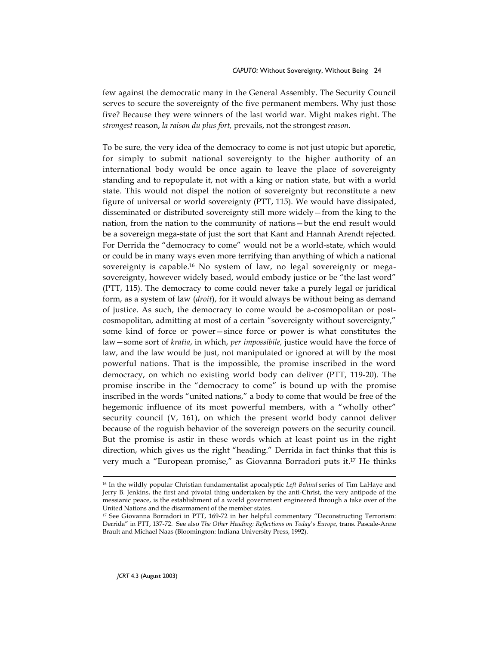few against the democratic many in the General Assembly. The Security Council serves to secure the sovereignty of the five permanent members. Why just those five? Because they were winners of the last world war. Might makes right. The *strongest* reason, *la raison du plus fort,* prevails, not the strongest *reason.*

To be sure, the very idea of the democracy to come is not just utopic but aporetic, for simply to submit national sovereignty to the higher authority of an international body would be once again to leave the place of sovereignty standing and to repopulate it, not with a king or nation state, but with a world state. This would not dispel the notion of sovereignty but reconstitute a new figure of universal or world sovereignty (PTT, 115). We would have dissipated, disseminated or distributed sovereignty still more widely—from the king to the nation, from the nation to the community of nations—but the end result would be a sovereign mega-state of just the sort that Kant and Hannah Arendt rejected. For Derrida the "democracy to come" would not be a world-state, which would or could be in many ways even more terrifying than anything of which a national sovereignty is capable.16 No system of law, no legal sovereignty or megasovereignty, however widely based, would embody justice or be "the last word" (PTT, 115). The democracy to come could never take a purely legal or juridical form, as a system of law (*droit*), for it would always be without being as demand of justice. As such, the democracy to come would be a-cosmopolitan or postcosmopolitan, admitting at most of a certain "sovereignty without sovereignty," some kind of force or power—since force or power is what constitutes the law—some sort of *kratia*, in which, *per impossibile,* justice would have the force of law, and the law would be just, not manipulated or ignored at will by the most powerful nations. That is the impossible, the promise inscribed in the word democracy, on which no existing world body can deliver (PTT, 119-20). The promise inscribe in the "democracy to come" is bound up with the promise inscribed in the words "united nations," a body to come that would be free of the hegemonic influence of its most powerful members, with a "wholly other" security council (V, 161), on which the present world body cannot deliver because of the roguish behavior of the sovereign powers on the security council. But the promise is astir in these words which at least point us in the right direction, which gives us the right "heading." Derrida in fact thinks that this is very much a "European promise," as Giovanna Borradori puts it.17 He thinks

<sup>16</sup> In the wildly popular Christian fundamentalist apocalyptic *Left Behind!*series of Tim LaHaye and Jerry B. Jenkins, the first and pivotal thing undertaken by the anti-Christ, the very antipode of the messianic peace, is the establishment of a world government engineered through a take over of the United Nations and the disarmament of the member states.

<sup>17</sup> See Giovanna Borradori in PTT, 169-72 in her helpful commentary "Deconstructing Terrorism: Derrida" in PTT, 137-72. See also *The Other Heading: Reflections on Today's Europe,* trans. Pascale-Anne Brault and Michael Naas (Bloomington: Indiana University Press, 1992).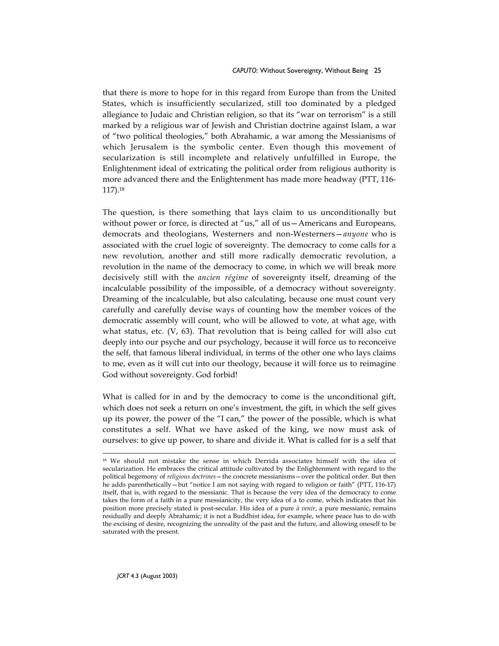that there is more to hope for in this regard from Europe than from the United States, which is insufficiently secularized, still too dominated by a pledged allegiance to Judaic and Christian religion, so that its "war on terrorism" is a still marked by a religious war of Jewish and Christian doctrine against Islam, a war of "two political theologies," both Abrahamic, a war among the Messianisms of which Jerusalem is the symbolic center. Even though this movement of secularization is still incomplete and relatively unfulfilled in Europe, the Enlightenment ideal of extricating the political order from religious authority is more advanced there and the Enlightenment has made more headway (PTT, 116- 117).18

The question, is there something that lays claim to us unconditionally but without power or force, is directed at "us," all of us - Americans and Europeans, democrats and theologians, Westerners and non-Westerners—*anyone* who is associated with the cruel logic of sovereignty. The democracy to come calls for a new revolution, another and still more radically democratic revolution, a revolution in the name of the democracy to come, in which we will break more decisively still with the *ancien régime* of sovereignty itself, dreaming of the incalculable possibility of the impossible, of a democracy without sovereignty. Dreaming of the incalculable, but also calculating, because one must count very carefully and carefully devise ways of counting how the member voices of the democratic assembly will count, who will be allowed to vote, at what age, with what status, etc.  $(V, 63)$ . That revolution that is being called for will also cut deeply into our psyche and our psychology, because it will force us to reconceive the self, that famous liberal individual, in terms of the other one who lays claims to me, even as it will cut into our theology, because it will force us to reimagine God without sovereignty. God forbid!

What is called for in and by the democracy to come is the unconditional gift, which does not seek a return on one's investment, the gift, in which the self gives up its power, the power of the "I can," the power of the possible, which is what constitutes a self. What we have asked of the king, we now must ask of ourselves: to give up power, to share and divide it. What is called for is a self that

<sup>18</sup> We should not mistake the sense in which Derrida associates himself with the idea of secularization. He embraces the critical attitude cultivated by the Enlightenment with regard to the political hegemony of *religious doctrines*—the concrete messianisms—over the political order. But then he adds parenthetically—but "notice I am not saying with regard to religion or faith" (PTT, 116-17) itself, that is, with regard to the messianic. That is because the very idea of the democracy to come takes the form of a faith in a pure messianicity, the very idea of a to come, which indicates that his position more precisely stated is post-secular. His idea of a pure *à venir*, a pure messianic, remains residually and deeply Abrahamic; it is not a Buddhist idea, for example, where peace has to do with the excising of desire, recognizing the unreality of the past and the future, and allowing oneself to be saturated with the present.